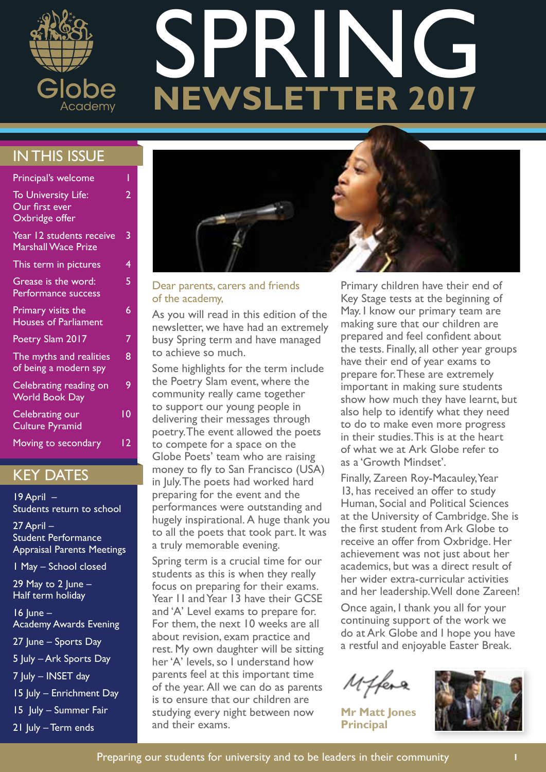

# **NEWSLETTER 2017** SPRI

# IN THIS ISSUE

| Principal's welcome                                     |    |
|---------------------------------------------------------|----|
| To University Life:<br>Our first ever<br>Oxbridge offer | 2  |
| Year 12 students receive<br><b>Marshall Wace Prize</b>  | 3  |
| This term in pictures                                   | 4  |
| Grease is the word:<br>Performance success              | 5  |
| Primary visits the<br><b>Houses of Parliament</b>       | 6  |
| Poetry Slam 2017                                        | 7  |
| The myths and realities<br>of being a modern spy        | 8  |
| Celebrating reading on<br><b>World Book Day</b>         | 9  |
| Celebrating our<br><b>Culture Pyramid</b>               | 10 |
| Moving to secondary                                     | 12 |

# KEY DATES

 $19$  April  $-$ Students return to school

27 April – Student Performance Appraisal Parents Meetings

1 May – School closed

29 May to 2  $|$ une – Half term holiday

16 June – Academy Awards Evening 27 June – Sports Day 5 July – Ark Sports Day 7 July – INSET day 15 July – Enrichment Day 15 July – Summer Fair

21 July - Term ends



#### Dear parents, carers and friends of the academy,

As you will read in this edition of the newsletter, we have had an extremely busy Spring term and have managed to achieve so much.

Some highlights for the term include the Poetry Slam event, where the community really came together to support our young people in delivering their messages through poetry. The event allowed the poets to compete for a space on the Globe Poets' team who are raising money to fly to San Francisco (USA) in July. The poets had worked hard preparing for the event and the performances were outstanding and hugely inspirational. A huge thank you to all the poets that took part. It was a truly memorable evening.

Spring term is a crucial time for our students as this is when they really focus on preparing for their exams. Year 11 and Year 13 have their GCSE and 'A' Level exams to prepare for. For them, the next 10 weeks are all about revision, exam practice and rest. My own daughter will be sitting her 'A' levels, so I understand how parents feel at this important time of the year. All we can do as parents is to ensure that our children are studying every night between now and their exams.

Primary children have their end of Key Stage tests at the beginning of May. I know our primary team are making sure that our children are prepared and feel confident about the tests. Finally, all other year groups have their end of year exams to prepare for. These are extremely important in making sure students show how much they have learnt, but also help to identify what they need to do to make even more progress in their studies. This is at the heart of what we at Ark Globe refer to as a 'Growth Mindset'.

Finally, Zareen Roy-Macauley, Year 13, has received an offer to study Human, Social and Political Sciences at the University of Cambridge. She is the first student from Ark Globe to receive an offer from Oxbridge. Her achievement was not just about her academics, but was a direct result of her wider extra-curricular activities and her leadership. Well done Zareen!

Once again, I thank you all for your continuing support of the work we do at Ark Globe and I hope you have a restful and enjoyable Easter Break.

Miffera

**Mr Matt Jones Principal**

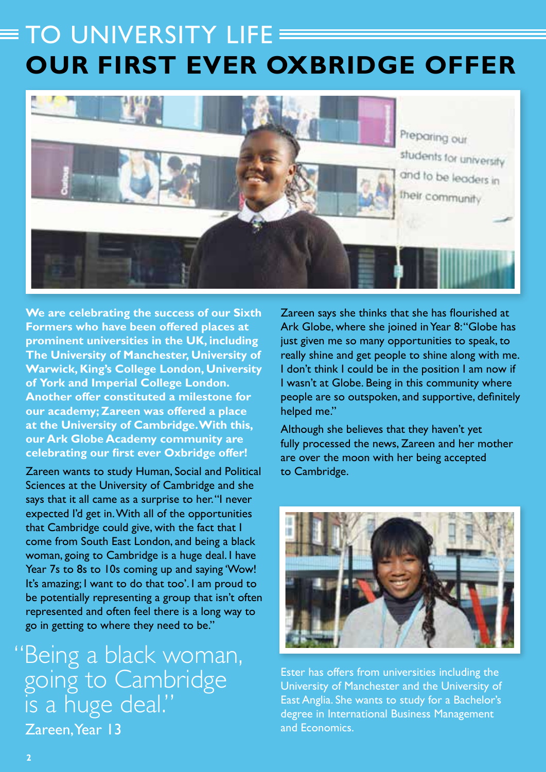# TO UNIVERSITY LIFE **OUR FIRST EVER OXBRIDGE OFFER**



**We are celebrating the success of our Sixth Formers who have been offered places at prominent universities in the UK, including The University of Manchester, University of Warwick, King's College London, University of York and Imperial College London. Another offer constituted a milestone for our academy; Zareen was offered a place at the University of Cambridge. With this, our Ark Globe Academy community are celebrating our first ever Oxbridge offer!**

Zareen wants to study Human, Social and Political Sciences at the University of Cambridge and she says that it all came as a surprise to her. "I never expected I'd get in. With all of the opportunities that Cambridge could give, with the fact that I come from South East London, and being a black woman, going to Cambridge is a huge deal. I have Year 7s to 8s to 10s coming up and saying 'Wow! It's amazing; I want to do that too'. I am proud to be potentially representing a group that isn't often represented and often feel there is a long way to go in getting to where they need to be."

Zareen, Year 13 Being a black woman, going to Cambridge is a huge deal."

Zareen says she thinks that she has flourished at Ark Globe, where she joined in Year 8: "Globe has just given me so many opportunities to speak, to really shine and get people to shine along with me. I don't think I could be in the position I am now if I wasn't at Globe. Being in this community where people are so outspoken, and supportive, definitely helped me."

Although she believes that they haven't yet fully processed the news, Zareen and her mother are over the moon with her being accepted to Cambridge.



Ester has offers from universities including the University of Manchester and the University of East Anglia. She wants to study for a Bachelor's degree in International Business Management and Economics.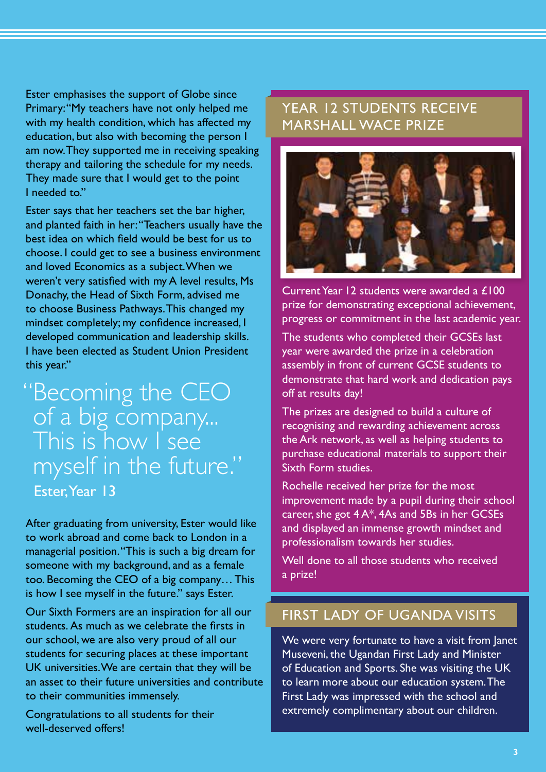Ester emphasises the support of Globe since Primary: "My teachers have not only helped me with my health condition, which has affected my education, but also with becoming the person I am now. They supported me in receiving speaking therapy and tailoring the schedule for my needs. They made sure that I would get to the point I needed to."

Ester says that her teachers set the bar higher, and planted faith in her: "Teachers usually have the best idea on which field would be best for us to choose. I could get to see a business environment and loved Economics as a subject. When we weren't very satisfied with my A level results, Ms Donachy, the Head of Sixth Form, advised me to choose Business Pathways. This changed my mindset completely; my confidence increased, I developed communication and leadership skills. I have been elected as Student Union President this year."

# Ester, Year 13 "Becoming the CEO of a big company... This is how I see myself in the future."

After graduating from university, Ester would like to work abroad and come back to London in a managerial position. "This is such a big dream for someone with my background, and as a female too. Becoming the CEO of a big company… This is how I see myself in the future." says Ester.

Our Sixth Formers are an inspiration for all our students. As much as we celebrate the firsts in our school, we are also very proud of all our students for securing places at these important UK universities. We are certain that they will be an asset to their future universities and contribute to their communities immensely.

Congratulations to all students for their well-deserved offers!

# YEAR 12 STUDENTS RECEIVE MARSHALL WACE PRIZE

![](_page_2_Picture_7.jpeg)

Current Year 12 students were awarded a £100 prize for demonstrating exceptional achievement, progress or commitment in the last academic year.

The students who completed their GCSEs last year were awarded the prize in a celebration assembly in front of current GCSE students to demonstrate that hard work and dedication pays off at results day!

The prizes are designed to build a culture of recognising and rewarding achievement across the Ark network, as well as helping students to purchase educational materials to support their Sixth Form studies.

Rochelle received her prize for the most improvement made by a pupil during their school career, she got 4 A\*, 4As and 5Bs in her GCSEs and displayed an immense growth mindset and professionalism towards her studies.

Well done to all those students who received a prize!

### FIRST LADY OF UGANDA VISITS

We were very fortunate to have a visit from Janet Museveni, the Ugandan First Lady and Minister of Education and Sports. She was visiting the UK to learn more about our education system. The First Lady was impressed with the school and extremely complimentary about our children.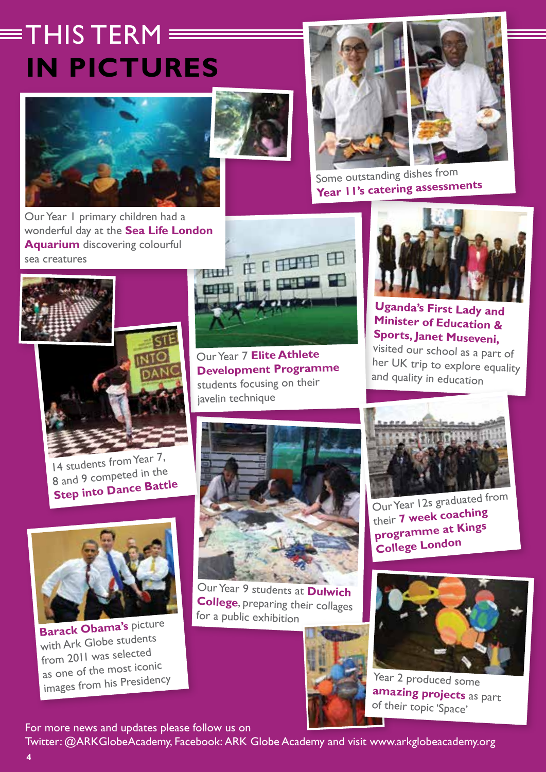# $\equiv$ THIS TERM $\equiv$ **IN PICTURES**

![](_page_3_Picture_1.jpeg)

Our Year 1 primary children had a wonderful day at the **Sea Life London Aquarium** discovering colourful sea creatures

![](_page_3_Picture_3.jpeg)

![](_page_3_Picture_4.jpeg)

![](_page_3_Picture_5.jpeg)

Some outstanding dishes from **Year 11's catering assessments**

![](_page_3_Picture_7.jpeg)

14 students from Year 7, 8 and 9 competed in the **Step into Dance Battle**

![](_page_3_Picture_9.jpeg)

**Barack Obama's** picture with Ark Globe students from 2011 was selected as one of the most iconic images from his Presidency

![](_page_3_Picture_11.jpeg)

Our Year 7 **Elite Athlete Development Programme**  students focusing on their iavelin technique

![](_page_3_Picture_13.jpeg)

Our Year 9 students at **Dulwich College**, preparing their collages for a public exhibition

![](_page_3_Picture_15.jpeg)

![](_page_3_Picture_16.jpeg)

**Uganda's First Lady and Minister of Education & Sports, Janet Museveni,**

visited our school as a part of her UK trip to explore equality and quality in education

![](_page_3_Picture_19.jpeg)

Our Year 12s graduated from their **7 week coaching programme at Kings College London**

![](_page_3_Picture_21.jpeg)

Year 2 produced some **amazing projects** as part of their topic 'Space'

For more news and updates please follow us on

Twitter: @ARKGlobeAcademy, Facebook: ARK Globe Academy and visit www.arkglobeacademy.org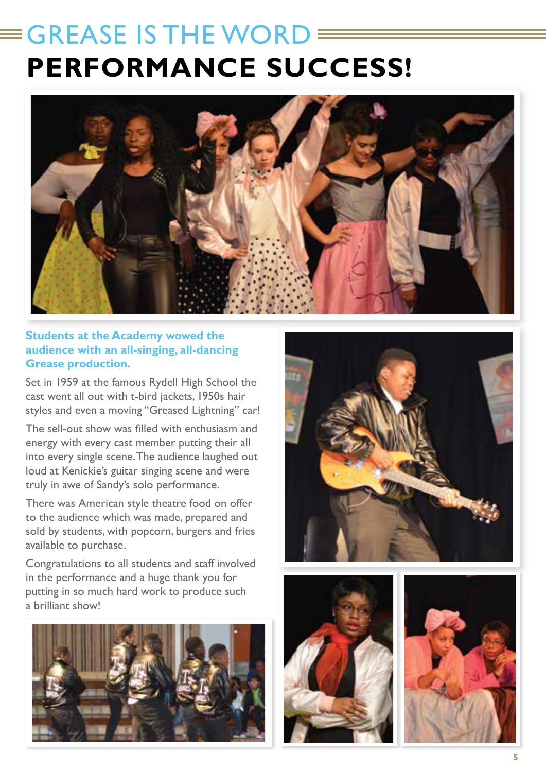# GREASE IS THE WORD **PERFORMANCE SUCCESS!**

![](_page_4_Picture_1.jpeg)

### **Students at the Academy wowed the audience with an all-singing, all-dancing Grease production.**

Set in 1959 at the famous Rydell High School the cast went all out with t-bird jackets, 1950s hair styles and even a moving "Greased Lightning" car!

The sell-out show was filled with enthusiasm and energy with every cast member putting their all into every single scene. The audience laughed out loud at Kenickie's guitar singing scene and were truly in awe of Sandy's solo performance.

There was American style theatre food on offer to the audience which was made, prepared and sold by students, with popcorn, burgers and fries available to purchase.

Congratulations to all students and staff involved in the performance and a huge thank you for putting in so much hard work to produce such a brilliant show!

![](_page_4_Picture_7.jpeg)

![](_page_4_Picture_8.jpeg)

![](_page_4_Picture_9.jpeg)

![](_page_4_Picture_10.jpeg)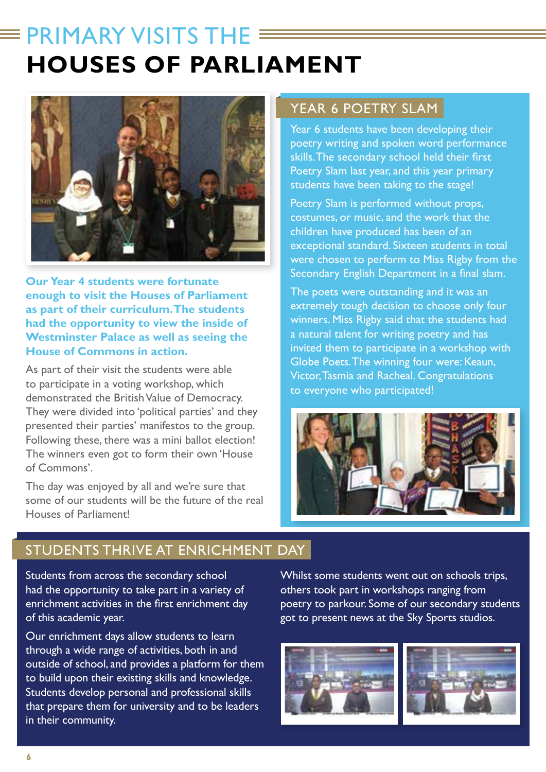# $\equiv$  PRIMARY VISITS THE  $\equiv$ **HOUSES OF PARLIAMENT**

![](_page_5_Picture_1.jpeg)

**Our Year 4 students were fortunate enough to visit the Houses of Parliament as part of their curriculum. The students had the opportunity to view the inside of Westminster Palace as well as seeing the House of Commons in action.** 

As part of their visit the students were able to participate in a voting workshop, which demonstrated the British Value of Democracy. They were divided into 'political parties' and they presented their parties' manifestos to the group. Following these, there was a mini ballot election! The winners even got to form their own 'House of Commons'.

The day was enjoyed by all and we're sure that some of our students will be the future of the real Houses of Parliament!

### YEAR 6 POETRY SLAM

Year 6 students have been developing their poetry writing and spoken word performance skills. The secondary school held their first Poetry Slam last year, and this year primary students have been taking to the stage!

Poetry Slam is performed without props, costumes, or music, and the work that the children have produced has been of an exceptional standard. Sixteen students in total were chosen to perform to Miss Rigby from the Secondary English Department in a final slam.

The poets were outstanding and it was an extremely tough decision to choose only four winners. Miss Rigby said that the students had a natural talent for writing poetry and has invited them to participate in a workshop with Globe Poets. The winning four were: Keaun, Victor, Tasmia and Racheal. Congratulations to everyone who participated!

![](_page_5_Picture_9.jpeg)

### STUDENTS THRIVE AT ENRICHMENT DAY

Students from across the secondary school had the opportunity to take part in a variety of enrichment activities in the first enrichment day of this academic year.

Our enrichment days allow students to learn through a wide range of activities, both in and outside of school, and provides a platform for them to build upon their existing skills and knowledge. Students develop personal and professional skills that prepare them for university and to be leaders in their community.

Whilst some students went out on schools trips, others took part in workshops ranging from poetry to parkour. Some of our secondary students got to present news at the Sky Sports studios.

![](_page_5_Picture_14.jpeg)

![](_page_5_Picture_15.jpeg)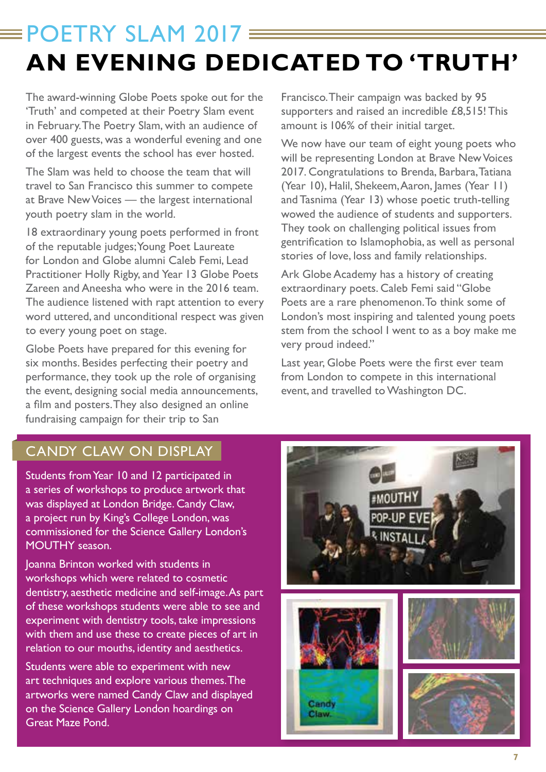# $=$  POFTRY SLAM 2017 $=$ **AN EVENING DEDICATED TO 'TRUTH'**

The award-winning Globe Poets spoke out for the 'Truth' and competed at their Poetry Slam event in February. The Poetry Slam, with an audience of over 400 guests, was a wonderful evening and one of the largest events the school has ever hosted.

The Slam was held to choose the team that will travel to San Francisco this summer to compete at Brave New Voices — the largest international youth poetry slam in the world.

18 extraordinary young poets performed in front of the reputable judges; Young Poet Laureate for London and Globe alumni Caleb Femi, Lead Practitioner Holly Rigby, and Year 13 Globe Poets Zareen and Aneesha who were in the 2016 team. The audience listened with rapt attention to every word uttered, and unconditional respect was given to every young poet on stage.

Globe Poets have prepared for this evening for six months. Besides perfecting their poetry and performance, they took up the role of organising the event, designing social media announcements, a film and posters. They also designed an online fundraising campaign for their trip to San

Francisco. Their campaign was backed by 95 supporters and raised an incredible £8,515! This amount is 106% of their initial target.

We now have our team of eight young poets who will be representing London at Brave New Voices 2017. Congratulations to Brenda, Barbara, Tatiana (Year 10), Halil, Shekeem, Aaron, James (Year 11) and Tasnima (Year 13) whose poetic truth-telling wowed the audience of students and supporters. They took on challenging political issues from gentrification to Islamophobia, as well as personal stories of love, loss and family relationships.

Ark Globe Academy has a history of creating extraordinary poets. Caleb Femi said "Globe Poets are a rare phenomenon. To think some of London's most inspiring and talented young poets stem from the school I went to as a boy make me very proud indeed."

Last year, Globe Poets were the first ever team from London to compete in this international event, and travelled to Washington DC.

# CANDY CLAW ON DISPLAY

Students from Year 10 and 12 participated in a series of workshops to produce artwork that was displayed at London Bridge. Candy Claw, a project run by King's College London, was commissioned for the Science Gallery London's MOUTHY season.

Joanna Brinton worked with students in workshops which were related to cosmetic dentistry, aesthetic medicine and self-image. As part of these workshops students were able to see and experiment with dentistry tools, take impressions with them and use these to create pieces of art in relation to our mouths, identity and aesthetics.

Students were able to experiment with new art techniques and explore various themes. The artworks were named Candy Claw and displayed on the Science Gallery London hoardings on Great Maze Pond.

![](_page_6_Picture_13.jpeg)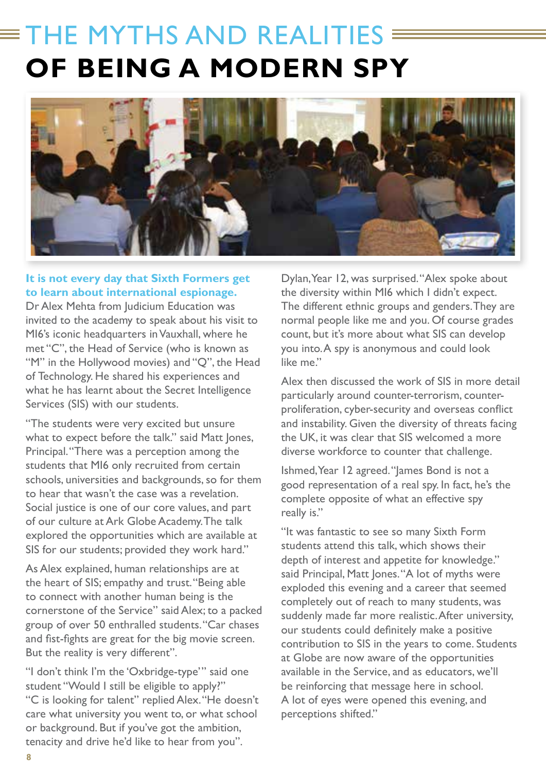# THE MYTHS AND REALITIES **E OF BEING A MODERN SPY**

![](_page_7_Picture_1.jpeg)

### **It is not every day that Sixth Formers get to learn about international espionage.**

Dr Alex Mehta from Judicium Education was invited to the academy to speak about his visit to MI6's iconic headquarters in Vauxhall, where he met "C", the Head of Service (who is known as "M" in the Hollywood movies) and "Q", the Head of Technology. He shared his experiences and what he has learnt about the Secret Intelligence Services (SIS) with our students.

"The students were very excited but unsure what to expect before the talk." said Matt Jones, Principal. "There was a perception among the students that MI6 only recruited from certain schools, universities and backgrounds, so for them to hear that wasn't the case was a revelation. Social justice is one of our core values, and part of our culture at Ark Globe Academy. The talk explored the opportunities which are available at SIS for our students; provided they work hard."

As Alex explained, human relationships are at the heart of SIS; empathy and trust. "Being able to connect with another human being is the cornerstone of the Service" said Alex; to a packed group of over 50 enthralled students. "Car chases and fist-fights are great for the big movie screen. But the reality is very different".

"I don't think I'm the 'Oxbridge-type'" said one student "Would I still be eligible to apply?" "C is looking for talent" replied Alex. "He doesn't care what university you went to, or what school or background. But if you've got the ambition, tenacity and drive he'd like to hear from you".

Dylan, Year 12, was surprised. "Alex spoke about the diversity within MI6 which I didn't expect. The different ethnic groups and genders. They are normal people like me and you. Of course grades count, but it's more about what SIS can develop you into. A spy is anonymous and could look like me."

Alex then discussed the work of SIS in more detail particularly around counter-terrorism, counterproliferation, cyber-security and overseas conflict and instability. Given the diversity of threats facing the UK, it was clear that SIS welcomed a more diverse workforce to counter that challenge.

Ishmed, Year 12 agreed. "James Bond is not a good representation of a real spy. In fact, he's the complete opposite of what an effective spy really is."

"It was fantastic to see so many Sixth Form students attend this talk, which shows their depth of interest and appetite for knowledge." said Principal, Matt Jones. "A lot of myths were exploded this evening and a career that seemed completely out of reach to many students, was suddenly made far more realistic. After university, our students could definitely make a positive contribution to SIS in the years to come. Students at Globe are now aware of the opportunities available in the Service, and as educators, we'll be reinforcing that message here in school. A lot of eyes were opened this evening, and perceptions shifted."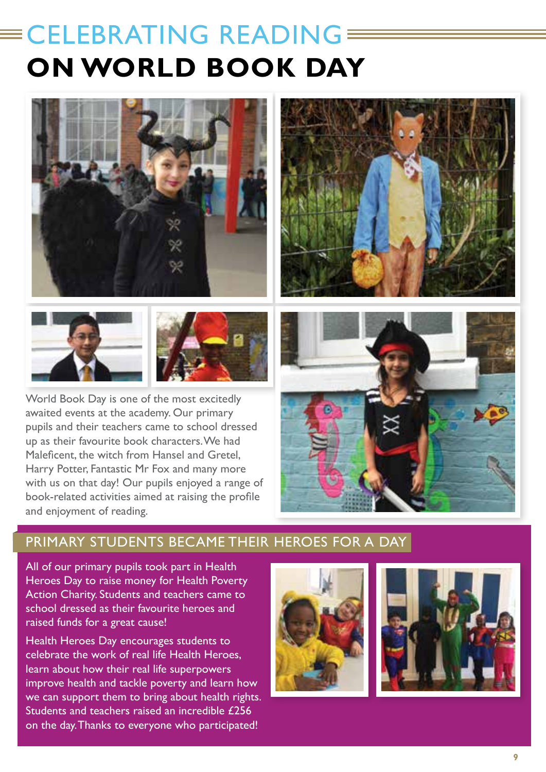# CELEBRATING READING a<br>Maria B **ON WORLD BOOK DAY**

![](_page_8_Picture_1.jpeg)

![](_page_8_Picture_2.jpeg)

World Book Day is one of the most excitedly awaited events at the academy. Our primary pupils and their teachers came to school dressed up as their favourite book characters. We had Maleficent, the witch from Hansel and Gretel Harry Potter, Fantastic Mr Fox and many more with us on that day! Our pupils enjoyed a range of book-related activities aimed at raising the profile and enjoyment of reading.

![](_page_8_Picture_4.jpeg)

![](_page_8_Picture_5.jpeg)

### PRIMARY STUDENTS BECAME THEIR HEROES FOR A DAY

All of our primary pupils took part in Health Heroes Day to raise money for Health Poverty Action Charity. Students and teachers came to school dressed as their favourite heroes and raised funds for a great cause!

Health Heroes Day encourages students to celebrate the work of real life Health Heroes, learn about how their real life superpowers improve health and tackle poverty and learn how we can support them to bring about health rights. Students and teachers raised an incredible £256 on the day. Thanks to everyone who participated!

![](_page_8_Picture_9.jpeg)

![](_page_8_Picture_10.jpeg)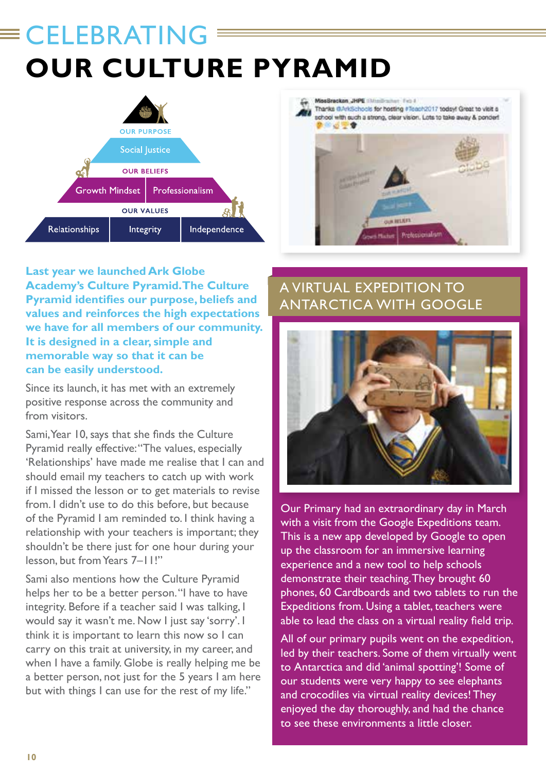# **CELEBRATING OUR CULTURE PYRAMID**

![](_page_9_Figure_1.jpeg)

![](_page_9_Picture_2.jpeg)

**Last year we launched Ark Globe Academy's Culture Pyramid. The Culture Pyramid identifies our purpose, beliefs and values and reinforces the high expectations we have for all members of our community. It is designed in a clear, simple and memorable way so that it can be can be easily understood.** 

Since its launch, it has met with an extremely positive response across the community and from visitors.

Sami, Year 10, says that she finds the Culture Pyramid really effective: "The values, especially 'Relationships' have made me realise that I can and should email my teachers to catch up with work if I missed the lesson or to get materials to revise from. I didn't use to do this before, but because of the Pyramid I am reminded to. I think having a relationship with your teachers is important; they shouldn't be there just for one hour during your lesson, but from Years 7–11!"

Sami also mentions how the Culture Pyramid helps her to be a better person. "I have to have integrity. Before if a teacher said I was talking, I would say it wasn't me. Now I just say 'sorry'. I think it is important to learn this now so I can carry on this trait at university, in my career, and when I have a family. Globe is really helping me be a better person, not just for the 5 years I am here but with things I can use for the rest of my life."

# A VIRTUAL EXPEDITION TO ANTARCTICA WITH GOOGLE

![](_page_9_Picture_8.jpeg)

Our Primary had an extraordinary day in March with a visit from the Google Expeditions team. This is a new app developed by Google to open up the classroom for an immersive learning experience and a new tool to help schools demonstrate their teaching. They brought 60 phones, 60 Cardboards and two tablets to run the Expeditions from. Using a tablet, teachers were able to lead the class on a virtual reality field trip.

All of our primary pupils went on the expedition, led by their teachers. Some of them virtually went to Antarctica and did 'animal spotting'! Some of our students were very happy to see elephants and crocodiles via virtual reality devices! They enjoyed the day thoroughly, and had the chance to see these environments a little closer.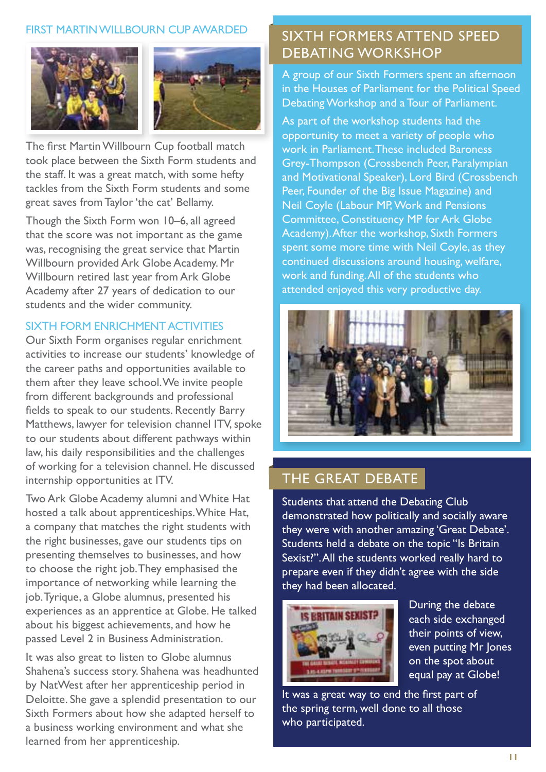### FIRST MARTIN WILLBOURN CUP AWARDED

![](_page_10_Picture_1.jpeg)

![](_page_10_Picture_2.jpeg)

The first Martin Willbourn Cup football match took place between the Sixth Form students and the staff. It was a great match, with some hefty tackles from the Sixth Form students and some great saves from Taylor 'the cat' Bellamy.

Though the Sixth Form won 10–6, all agreed that the score was not important as the game was, recognising the great service that Martin Willbourn provided Ark Globe Academy. Mr Willbourn retired last year from Ark Globe Academy after 27 years of dedication to our students and the wider community.

#### SIXTH FORM ENRICHMENT ACTIVITIES

Our Sixth Form organises regular enrichment activities to increase our students' knowledge of the career paths and opportunities available to them after they leave school. We invite people from different backgrounds and professional fields to speak to our students. Recently Barry Matthews, lawyer for television channel ITV, spoke to our students about different pathways within law, his daily responsibilities and the challenges of working for a television channel. He discussed internship opportunities at ITV.

Two Ark Globe Academy alumni and White Hat hosted a talk about apprenticeships. White Hat, a company that matches the right students with the right businesses, gave our students tips on presenting themselves to businesses, and how to choose the right job. They emphasised the importance of networking while learning the job. Tyrique, a Globe alumnus, presented his experiences as an apprentice at Globe. He talked about his biggest achievements, and how he passed Level 2 in Business Administration.

It was also great to listen to Globe alumnus Shahena's success story. Shahena was headhunted by NatWest after her apprenticeship period in Deloitte. She gave a splendid presentation to our Sixth Formers about how she adapted herself to a business working environment and what she learned from her apprenticeship.

### SIXTH FORMERS ATTEND SPEED DEBATING WORKSHOP

A group of our Sixth Formers spent an afternoon in the Houses of Parliament for the Political Speed Debating Workshop and a Tour of Parliament.

As part of the workshop students had the opportunity to meet a variety of people who work in Parliament. These included Baroness Grey-Thompson (Crossbench Peer, Paralympian and Motivational Speaker), Lord Bird (Crossbench Peer, Founder of the Big Issue Magazine) and Neil Coyle (Labour MP, Work and Pensions Committee, Constituency MP for Ark Globe Academy). After the workshop, Sixth Formers spent some more time with Neil Coyle, as they continued discussions around housing, welfare, work and funding. All of the students who attended enjoyed this very productive day.

![](_page_10_Picture_12.jpeg)

### THE GREAT DEBATE

Students that attend the Debating Club demonstrated how politically and socially aware they were with another amazing 'Great Debate'. Students held a debate on the topic "Is Britain Sexist?". All the students worked really hard to prepare even if they didn't agree with the side they had been allocated.

![](_page_10_Picture_15.jpeg)

During the debate each side exchanged their points of view, even putting Mr Jones on the spot about equal pay at Globe!

It was a great way to end the first part of the spring term, well done to all those who participated.